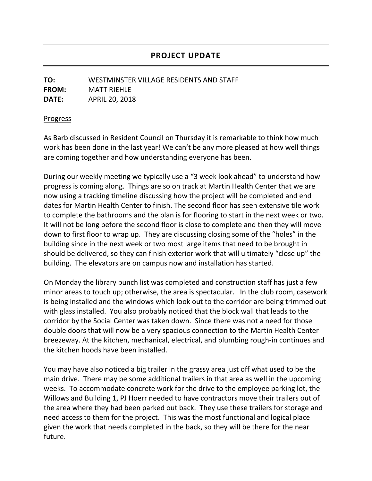## **PROJECT UPDATE**

## **TO:** WESTMINSTER VILLAGE RESIDENTS AND STAFF **FROM:** MATT RIEHLE **DATE:** APRIL 20, 2018

## **Progress**

As Barb discussed in Resident Council on Thursday it is remarkable to think how much work has been done in the last year! We can't be any more pleased at how well things are coming together and how understanding everyone has been.

During our weekly meeting we typically use a "3 week look ahead" to understand how progress is coming along. Things are so on track at Martin Health Center that we are now using a tracking timeline discussing how the project will be completed and end dates for Martin Health Center to finish. The second floor has seen extensive tile work to complete the bathrooms and the plan is for flooring to start in the next week or two. It will not be long before the second floor is close to complete and then they will move down to first floor to wrap up. They are discussing closing some of the "holes" in the building since in the next week or two most large items that need to be brought in should be delivered, so they can finish exterior work that will ultimately "close up" the building. The elevators are on campus now and installation has started.

On Monday the library punch list was completed and construction staff has just a few minor areas to touch up; otherwise, the area is spectacular. In the club room, casework is being installed and the windows which look out to the corridor are being trimmed out with glass installed. You also probably noticed that the block wall that leads to the corridor by the Social Center was taken down. Since there was not a need for those double doors that will now be a very spacious connection to the Martin Health Center breezeway. At the kitchen, mechanical, electrical, and plumbing rough-in continues and the kitchen hoods have been installed.

You may have also noticed a big trailer in the grassy area just off what used to be the main drive. There may be some additional trailers in that area as well in the upcoming weeks. To accommodate concrete work for the drive to the employee parking lot, the Willows and Building 1, PJ Hoerr needed to have contractors move their trailers out of the area where they had been parked out back. They use these trailers for storage and need access to them for the project. This was the most functional and logical place given the work that needs completed in the back, so they will be there for the near future.